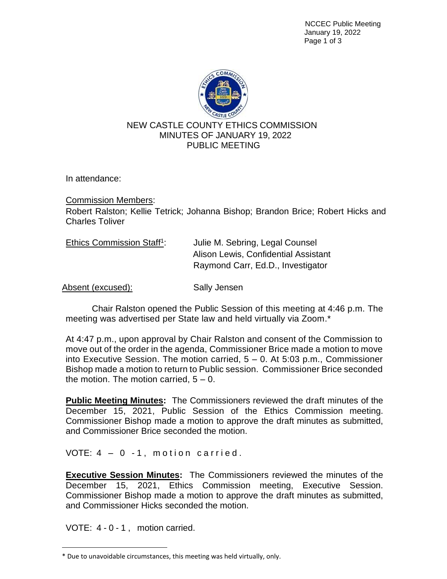NCCEC Public Meeting January 19, 2022 Page 1 of 3



In attendance:

Commission Members:

Robert Ralston; Kellie Tetrick; Johanna Bishop; Brandon Brice; Robert Hicks and Charles Toliver

| Ethics Commission Staff <sup>1</sup> : | Julie M. Sebring, Legal Counsel      |
|----------------------------------------|--------------------------------------|
|                                        | Alison Lewis, Confidential Assistant |
|                                        | Raymond Carr, Ed.D., Investigator    |

Absent (excused): Sally Jensen

Chair Ralston opened the Public Session of this meeting at 4:46 p.m. The meeting was advertised per State law and held virtually via Zoom.\*

At 4:47 p.m., upon approval by Chair Ralston and consent of the Commission to move out of the order in the agenda, Commissioner Brice made a motion to move into Executive Session. The motion carried, 5 – 0. At 5:03 p.m., Commissioner Bishop made a motion to return to Public session. Commissioner Brice seconded the motion. The motion carried,  $5 - 0$ .

**Public Meeting Minutes:** The Commissioners reviewed the draft minutes of the December 15, 2021, Public Session of the Ethics Commission meeting. Commissioner Bishop made a motion to approve the draft minutes as submitted, and Commissioner Brice seconded the motion.

VOTE:  $4 - 0 - 1$ , motion carried.

**Executive Session Minutes:** The Commissioners reviewed the minutes of the December 15, 2021, Ethics Commission meeting, Executive Session. Commissioner Bishop made a motion to approve the draft minutes as submitted, and Commissioner Hicks seconded the motion.

VOTE: 4 - 0 - 1 , motion carried.

<sup>\*</sup> Due to unavoidable circumstances, this meeting was held virtually, only.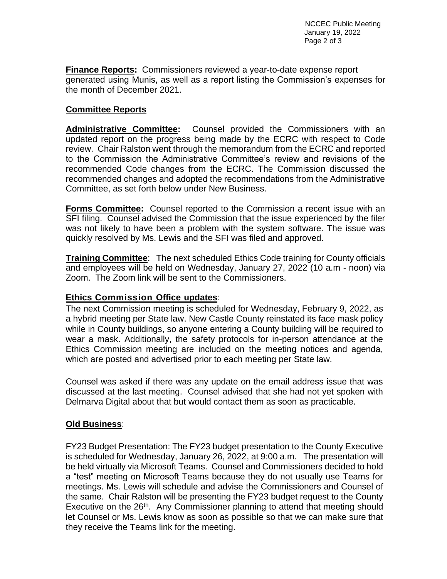**Finance Reports:** Commissioners reviewed a year-to-date expense report generated using Munis, as well as a report listing the Commission's expenses for the month of December 2021.

## **Committee Reports**

**Administrative Committee:** Counsel provided the Commissioners with an updated report on the progress being made by the ECRC with respect to Code review. Chair Ralston went through the memorandum from the ECRC and reported to the Commission the Administrative Committee's review and revisions of the recommended Code changes from the ECRC. The Commission discussed the recommended changes and adopted the recommendations from the Administrative Committee, as set forth below under New Business.

**Forms Committee:** Counsel reported to the Commission a recent issue with an SFI filing. Counsel advised the Commission that the issue experienced by the filer was not likely to have been a problem with the system software. The issue was quickly resolved by Ms. Lewis and the SFI was filed and approved.

**Training Committee**: The next scheduled Ethics Code training for County officials and employees will be held on Wednesday, January 27, 2022 (10 a.m - noon) via Zoom. The Zoom link will be sent to the Commissioners.

## **Ethics Commission Office updates**:

The next Commission meeting is scheduled for Wednesday, February 9, 2022, as a hybrid meeting per State law. New Castle County reinstated its face mask policy while in County buildings, so anyone entering a County building will be required to wear a mask. Additionally, the safety protocols for in-person attendance at the Ethics Commission meeting are included on the meeting notices and agenda, which are posted and advertised prior to each meeting per State law.

Counsel was asked if there was any update on the email address issue that was discussed at the last meeting. Counsel advised that she had not yet spoken with Delmarva Digital about that but would contact them as soon as practicable.

## **Old Business**:

FY23 Budget Presentation: The FY23 budget presentation to the County Executive is scheduled for Wednesday, January 26, 2022, at 9:00 a.m. The presentation will be held virtually via Microsoft Teams. Counsel and Commissioners decided to hold a "test" meeting on Microsoft Teams because they do not usually use Teams for meetings. Ms. Lewis will schedule and advise the Commissioners and Counsel of the same. Chair Ralston will be presenting the FY23 budget request to the County Executive on the 26<sup>th</sup>. Any Commissioner planning to attend that meeting should let Counsel or Ms. Lewis know as soon as possible so that we can make sure that they receive the Teams link for the meeting.